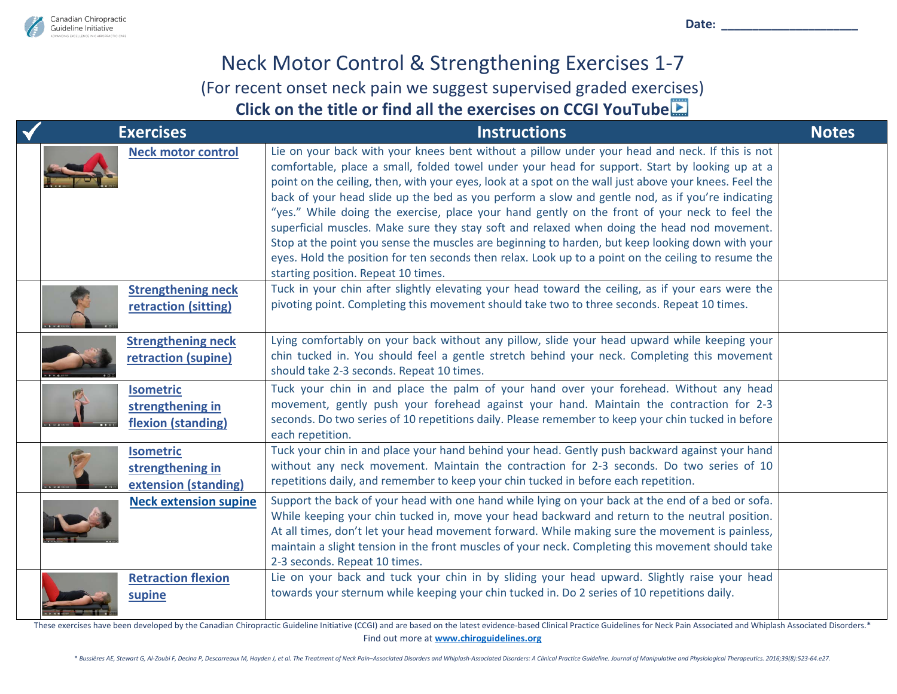

Date:

## Neck Motor Control & Strengthening Exercises 1-7 (For recent onset neck pain we suggest supervised graded exer[cise](https://www.youtube.com/channel/UCduMXDBP76INn85Il9fQ3qg)s) **Click on the title or find all the exercises on CCGI YouTube**

| <b>Exercises</b>                                             | <b>Instructions</b>                                                                                                                                                                                                                                                                                                                                                                                                                                                                                                                                                                                                                                                                                                                                                                                                                                               | <b>Notes</b> |
|--------------------------------------------------------------|-------------------------------------------------------------------------------------------------------------------------------------------------------------------------------------------------------------------------------------------------------------------------------------------------------------------------------------------------------------------------------------------------------------------------------------------------------------------------------------------------------------------------------------------------------------------------------------------------------------------------------------------------------------------------------------------------------------------------------------------------------------------------------------------------------------------------------------------------------------------|--------------|
| <b>Neck motor control</b>                                    | Lie on your back with your knees bent without a pillow under your head and neck. If this is not<br>comfortable, place a small, folded towel under your head for support. Start by looking up at a<br>point on the ceiling, then, with your eyes, look at a spot on the wall just above your knees. Feel the<br>back of your head slide up the bed as you perform a slow and gentle nod, as if you're indicating<br>"yes." While doing the exercise, place your hand gently on the front of your neck to feel the<br>superficial muscles. Make sure they stay soft and relaxed when doing the head nod movement.<br>Stop at the point you sense the muscles are beginning to harden, but keep looking down with your<br>eyes. Hold the position for ten seconds then relax. Look up to a point on the ceiling to resume the<br>starting position. Repeat 10 times. |              |
| <b>Strengthening neck</b><br>retraction (sitting)            | Tuck in your chin after slightly elevating your head toward the ceiling, as if your ears were the<br>pivoting point. Completing this movement should take two to three seconds. Repeat 10 times.                                                                                                                                                                                                                                                                                                                                                                                                                                                                                                                                                                                                                                                                  |              |
| <b>Strengthening neck</b><br>retraction (supine)             | Lying comfortably on your back without any pillow, slide your head upward while keeping your<br>chin tucked in. You should feel a gentle stretch behind your neck. Completing this movement<br>should take 2-3 seconds. Repeat 10 times.                                                                                                                                                                                                                                                                                                                                                                                                                                                                                                                                                                                                                          |              |
| <b>Isometric</b><br>strengthening in<br>flexion (standing)   | Tuck your chin in and place the palm of your hand over your forehead. Without any head<br>movement, gently push your forehead against your hand. Maintain the contraction for 2-3<br>seconds. Do two series of 10 repetitions daily. Please remember to keep your chin tucked in before<br>each repetition.                                                                                                                                                                                                                                                                                                                                                                                                                                                                                                                                                       |              |
| <b>Isometric</b><br>strengthening in<br>extension (standing) | Tuck your chin in and place your hand behind your head. Gently push backward against your hand<br>without any neck movement. Maintain the contraction for 2-3 seconds. Do two series of 10<br>repetitions daily, and remember to keep your chin tucked in before each repetition.                                                                                                                                                                                                                                                                                                                                                                                                                                                                                                                                                                                 |              |
| <b>Neck extension supine</b>                                 | Support the back of your head with one hand while lying on your back at the end of a bed or sofa.<br>While keeping your chin tucked in, move your head backward and return to the neutral position.<br>At all times, don't let your head movement forward. While making sure the movement is painless,<br>maintain a slight tension in the front muscles of your neck. Completing this movement should take<br>2-3 seconds. Repeat 10 times.                                                                                                                                                                                                                                                                                                                                                                                                                      |              |
| <b>Retraction flexion</b><br>supine                          | Lie on your back and tuck your chin in by sliding your head upward. Slightly raise your head<br>towards your sternum while keeping your chin tucked in. Do 2 series of 10 repetitions daily.                                                                                                                                                                                                                                                                                                                                                                                                                                                                                                                                                                                                                                                                      |              |

These exercises have been developed by the Canadian Chiropractic Guideline Initiative (CCGI) and are based on the latest evidence-based Clinical Practice Guidelines for Neck Pain Associated and Whiplash Associated Disorder Find out more at **[www.chiroguidelines.org](http://www.chiroguidelines.org/)**